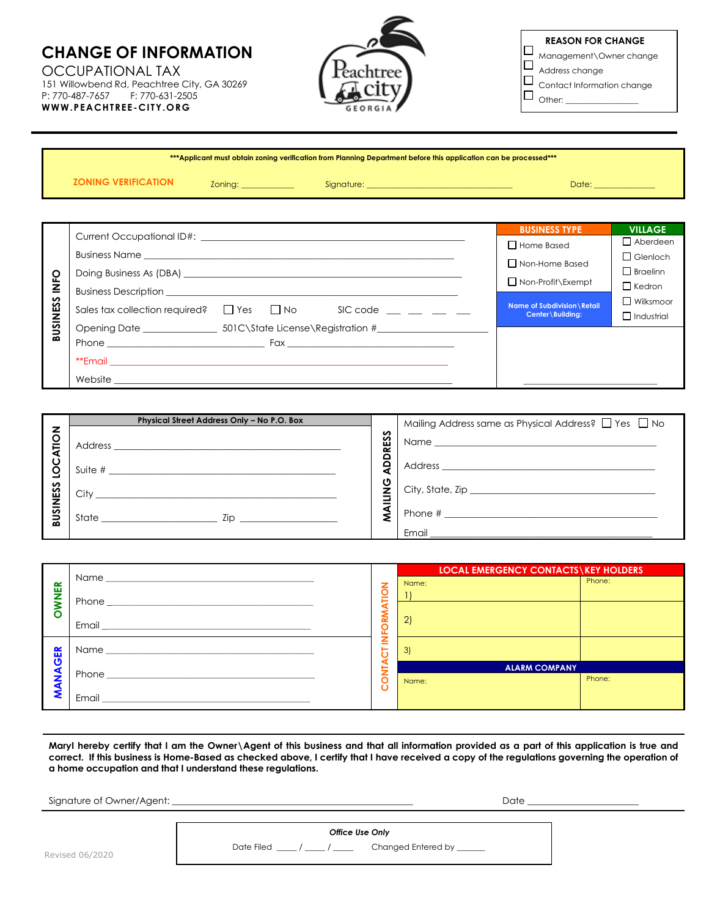# **CHANGE OF INFORMATION**

OCCUPATIONAL TAX 151 Willowbend Rd, Peachtree City, GA 30269<br>P: 770-487-7657 F: 770-631-2505 F: 770-631-2505 **WWW.PEACHTREE -CITY.ORG**



**REASON FOR CHANGE** Management\Owner change  $\Box$  Address change  $\Box$  Contact Information change<br> $\Box$  Other: Other: $\_$ 

|                 | ***Applicant must obtain zoning verification from Planning Department before this application can be processed***                                                                                                              |                                                                                      |                                                                                          |  |  |
|-----------------|--------------------------------------------------------------------------------------------------------------------------------------------------------------------------------------------------------------------------------|--------------------------------------------------------------------------------------|------------------------------------------------------------------------------------------|--|--|
|                 | <b>ZONING VERIFICATION</b><br>Zoning: _______________                                                                                                                                                                          |                                                                                      | Date: ______________                                                                     |  |  |
|                 |                                                                                                                                                                                                                                |                                                                                      |                                                                                          |  |  |
| <b>DAN</b>      |                                                                                                                                                                                                                                | <b>BUSINESS TYPE</b><br>$\Box$ Home Based<br>□ Non-Home Based<br>□ Non-Profit\Exempt | <b>VILLAGE</b><br>$\Box$ Aberdeen<br>$\Box$ Glenloch<br>$\Box$ Braelinn<br>$\Box$ Kedron |  |  |
| <b>BUSINESS</b> | Sales tax collection required? $\Box$ Yes $\Box$ No SIC code $\Box$ $\Box$ $\Box$                                                                                                                                              | Name of Subdivision \ Retail<br>Center\Building:                                     | $\Box$ Wilksmoor<br>$\Box$ Industrial                                                    |  |  |
|                 | Phone Fax Fax Francisco Contract of The Contract of Tax Contract of Tax Contract of Tax Contract of Tax Contract of Tax Contract of Tax Contract of Tax Contract of Tax Contract of Tax Contract of Tax Contract of Tax Contra |                                                                                      |                                                                                          |  |  |

|                     | Physical Street Address Only - No P.O. Box                                                                                    |                | Mailing Address same as Physical Address? □ Yes □ No |  |
|---------------------|-------------------------------------------------------------------------------------------------------------------------------|----------------|------------------------------------------------------|--|
| z<br>₫<br>হ         | Address<br><u> 1989 - Johann Stoff, amerikansk politiker (d. 1989)</u>                                                        | <b>ADDRESS</b> |                                                      |  |
| ن<br>О              |                                                                                                                               |                |                                                      |  |
|                     | City                                                                                                                          | <b>UING</b>    | City, State, Zip _________________                   |  |
| <b>USINESS</b><br>മ | <u>zipeter zipeter zipeter zipeter zipeter zipeter zipeter zipeter zipeter zipeter zipeter zipeter zipeter zipet</u><br>State | ⋖              |                                                      |  |
|                     |                                                                                                                               |                | Email                                                |  |

|             |                                                                                                                                                                                                                                |                      | <b>LOCAL EMERGENCY CONTACTS\KEY HOLDERS</b> |        |
|-------------|--------------------------------------------------------------------------------------------------------------------------------------------------------------------------------------------------------------------------------|----------------------|---------------------------------------------|--------|
| 監<br>z<br>O |                                                                                                                                                                                                                                | z                    | Name:                                       | Phone: |
|             |                                                                                                                                                                                                                                |                      |                                             |        |
|             |                                                                                                                                                                                                                                |                      |                                             |        |
|             | Email                                                                                                                                                                                                                          |                      | $\left 2\right $                            |        |
| 岊           |                                                                                                                                                                                                                                |                      |                                             |        |
|             | Name and the contract of the contract of the contract of the contract of the contract of the contract of the contract of the contract of the contract of the contract of the contract of the contract of the contract of the c |                      | 3)                                          |        |
| O           | Phone 2008 2009 2010 2021 2022 2023 2024 2022 2023 2024 2022 2023 2024 2022 2023 2024 2022 2023 2024 2022 2023                                                                                                                 | <b>ALARM COMPANY</b> |                                             |        |
|             |                                                                                                                                                                                                                                | O                    | Name:                                       | Phone: |
|             |                                                                                                                                                                                                                                |                      |                                             |        |
|             |                                                                                                                                                                                                                                |                      |                                             |        |

**MaryI hereby certify that I am the Owner\Agent of this business and that all information provided as a part of this application is true and correct. If this business is Home-Based as checked above, I certify that I have received a copy of the regulations governing the operation of a home occupation and that I understand these regulations.**

| Signature of Owner/Agent: | Date                                    |  |
|---------------------------|-----------------------------------------|--|
|                           | Office Use Only                         |  |
| _______________           | Changed Entered by ______<br>Date Filed |  |